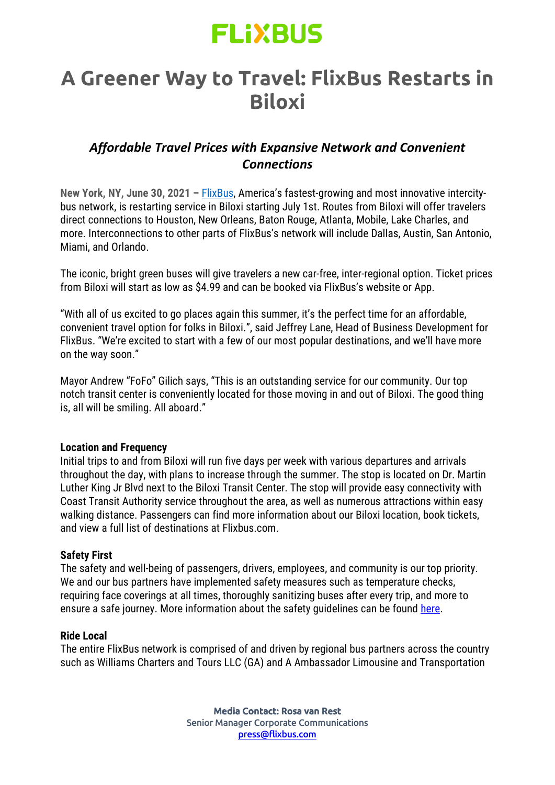## **FLIXBUS**

### **A Greener Way to Travel: FlixBus Restarts in Biloxi**

### *Affordable Travel Prices with Expansive Network and Convenient Connections*

**New York, NY, June 30, 2021 –** [FlixBus](http://www.flixbus.com/), America's fastest-growing and most innovative intercitybus network, is restarting service in Biloxi starting July 1st. Routes from Biloxi will offer travelers direct connections to Houston, New Orleans, Baton Rouge, Atlanta, Mobile, Lake Charles, and more. Interconnections to other parts of FlixBus's network will include Dallas, Austin, San Antonio, Miami, and Orlando.

The iconic, bright green buses will give travelers a new car-free, inter-regional option. Ticket prices from Biloxi will start as low as \$4.99 and can be booked via FlixBus's website or App.

"With all of us excited to go places again this summer, it's the perfect time for an affordable, convenient travel option for folks in Biloxi.", said Jeffrey Lane, Head of Business Development for FlixBus. "We're excited to start with a few of our most popular destinations, and we'll have more on the way soon."

Mayor Andrew "FoFo" Gilich says, "This is an outstanding service for our community. Our top notch transit center is conveniently located for those moving in and out of Biloxi. The good thing is, all will be smiling. All aboard."

#### **Location and Frequency**

Initial trips to and from Biloxi will run five days per week with various departures and arrivals throughout the day, with plans to increase through the summer. The stop is located on Dr. Martin Luther King Jr Blvd next to the Biloxi Transit Center. The stop will provide easy connectivity with Coast Transit Authority service throughout the area, as well as numerous attractions within easy walking distance. Passengers can find more information about our Biloxi location, book tickets, and view a full list of destinations at Flixbus.com.

#### **Safety First**

The safety and well-being of passengers, drivers, employees, and community is our top priority. We and our bus partners have implemented safety measures such as temperature checks, requiring face coverings at all times, thoroughly sanitizing buses after every trip, and more to ensure a safe journey. More information about the safety quidelines can be found [here.](https://www.flixbus.com/network-safety-updates)

#### **Ride Local**

The entire FlixBus network is comprised of and driven by regional bus partners across the country such as Williams Charters and Tours LLC (GA) and A Ambassador Limousine and Transportation

> Media Contact: Rosa van Rest Senior Manager Corporate Communications [press@flixbus.com](mailto:press@flixbus.com)